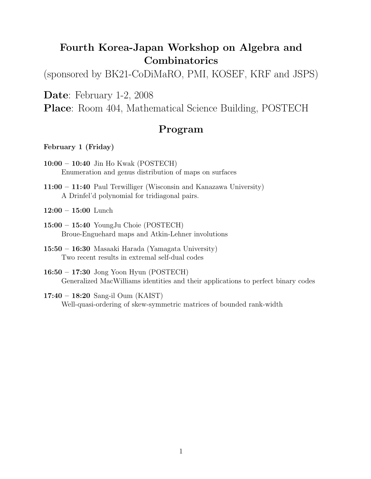# Fourth Korea-Japan Workshop on Algebra and Combinatorics

(sponsored by BK21-CoDiMaRO, PMI, KOSEF, KRF and JSPS)

Date: February 1-2, 2008

Place: Room 404, Mathematical Science Building, POSTECH

# Program

February 1 (Friday)

- 10:00 10:40 Jin Ho Kwak (POSTECH) Enumeration and genus distribution of maps on surfaces
- 11:00 11:40 Paul Terwilliger (Wisconsin and Kanazawa University) A Drinfel'd polynomial for tridiagonal pairs.

 $12:00 - 15:00$  Lunch

- 15:00 15:40 YoungJu Choie (POSTECH) Broue-Enguehard maps and Atkin-Lehner involutions
- 15:50 16:30 Masaaki Harada (Yamagata University) Two recent results in extremal self-dual codes

16:50 – 17:30 Jong Yoon Hyun (POSTECH) Generalized MacWilliams identities and their applications to perfect binary codes

### 17:40 – 18:20 Sang-il Oum (KAIST)

Well-quasi-ordering of skew-symmetric matrices of bounded rank-width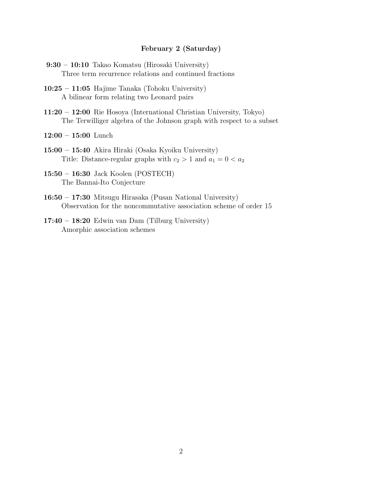### February 2 (Saturday)

- 9:30 10:10 Takao Komatsu (Hirosaki University) Three term recurrence relations and continued fractions
- 10:25 11:05 Hajime Tanaka (Tohoku University) A bilinear form relating two Leonard pairs
- 11:20 12:00 Rie Hosoya (International Christian University, Tokyo) The Terwilliger algebra of the Johnson graph with respect to a subset

12:00 – 15:00 Lunch

- 15:00 15:40 Akira Hiraki (Osaka Kyoiku University) Title: Distance-regular graphs with  $c_2 > 1$  and  $a_1 = 0 < a_2$
- 15:50 16:30 Jack Koolen (POSTECH) The Bannai-Ito Conjecture
- 16:50 17:30 Mitsugu Hirasaka (Pusan National University) Observation for the noncommutative association scheme of order 15
- 17:40 18:20 Edwin van Dam (Tilburg University) Amorphic association schemes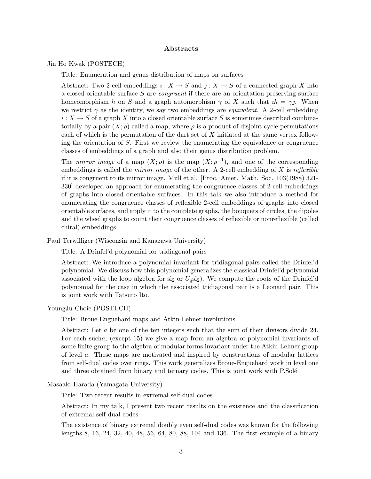### Abstracts

Jin Ho Kwak (POSTECH)

Title: Enumeration and genus distribution of maps on surfaces

Abstract: Two 2-cell embeddings  $\iota: X \to S$  and  $\jmath: X \to S$  of a connected graph X into a closed orientable surface S are congruent if there are an orientation-preserving surface homeomorphism h on S and a graph automorphism  $\gamma$  of X such that  $ih = \gamma j$ . When we restrict  $\gamma$  as the identity, we say two embeddings are *equivalent*. A 2-cell embedding  $\iota: X \to S$  of a graph X into a closed orientable surface S is sometimes described combinatorially by a pair  $(X; \rho)$  called a map, where  $\rho$  is a product of disjoint cycle permutations each of which is the permutation of the dart set of X initiated at the same vertex following the orientation of  $S$ . First we review the enumerating the equivalence or congruence classes of embeddings of a graph and also their genus distribution problem.

The *mirror image* of a map  $(X; \rho)$  is the map  $(X; \rho^{-1})$ , and one of the corresponding embeddings is called the *mirror image* of the other. A 2-cell embedding of  $X$  is *reflexible* if it is congruent to its mirror image. Mull et al. [Proc. Amer. Math. Soc. 103(1988) 321- 330] developed an approach for enumerating the congruence classes of 2-cell embeddings of graphs into closed orientable surfaces. In this talk we also introduce a method for enumerating the congruence classes of reflexible 2-cell embeddings of graphs into closed orientable surfaces, and apply it to the complete graphs, the bouquets of circles, the dipoles and the wheel graphs to count their congruence classes of reflexible or nonreflexible (called chiral) embeddings.

Paul Terwilliger (Wisconsin and Kanazawa University)

Title: A Drinfel'd polynomial for tridiagonal pairs

Abstract: We introduce a polynomial invariant for tridiagonal pairs called the Drinfel'd polynomial. We discuss how this polynomial generalizes the classical Drinfel'd polynomial associated with the loop algebra for  $sl_2$  or  $U_qsl_2$ ). We compute the roots of the Drinfel'd polynomial for the case in which the associated tridiagonal pair is a Leonard pair. This is joint work with Tatsuro Ito.

#### YoungJu Choie (POSTECH)

Title: Broue-Enguehard maps and Atkin-Lehner involutions

Abstract: Let a be one of the ten integers such that the sum of their divisors divide 24. For each sucha, (except 15) we give a map from an algebra of polynomial invariants of some finite group to the algebra of modular forms invariant under the Atkin-Lehner group of level a. These maps are motivated and inspired by constructions of modular lattices from self-dual codes over rings. This work generalizes Broue-Enguehard work in level one and three obtained from binary and ternary codes. This is joint work with P.Solé

#### Masaaki Harada (Yamagata University)

Title: Two recent results in extremal self-dual codes

Abstract: In my talk, I present two recent results on the existence and the classification of extremal self-dual codes.

The existence of binary extremal doubly even self-dual codes was known for the following lengths 8, 16, 24, 32, 40, 48, 56, 64, 80, 88, 104 and 136. The first example of a binary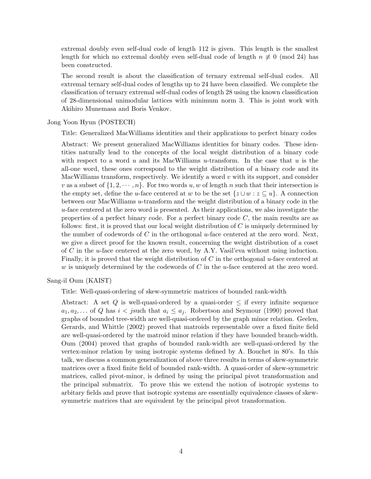extremal doubly even self-dual code of length 112 is given. This length is the smallest length for which no extremal doubly even self-dual code of length  $n \neq 0 \pmod{24}$  has been constructed.

The second result is about the classification of ternary extremal self-dual codes. All extremal ternary self-dual codes of lengths up to 24 have been classified. We complete the classification of ternary extremal self-dual codes of length 28 using the known classification of 28-dimensional unimodular lattices with minimum norm 3. This is joint work with Akihiro Munemasa and Boris Venkov.

Jong Yoon Hyun (POSTECH)

Title: Generalized MacWilliams identities and their applications to perfect binary codes

Abstract: We present generalized MacWilliams identities for binary codes. These identities naturally lead to the concepts of the local weight distribution of a binary code with respect to a word u and its MacWilliams u-transform. In the case that u is the all-one word, these ones correspond to the weight distribution of a binary code and its MacWilliams transform, respectively. We identify a word  $v$  with its support, and consider v as a subset of  $\{1, 2, \dots, n\}$ . For two words u, w of length n such that their intersection is the empty set, define the u-face centered at w to be the set  $\{z \cup w : z \subseteq u\}$ . A connection between our MacWilliams u-transform and the weight distribution of a binary code in the  $u$ -face centered at the zero word is presented. As their applications, we also investigate the properties of a perfect binary code. For a perfect binary code  $C$ , the main results are as follows: first, it is proved that our local weight distribution of  $C$  is uniquely determined by the number of codewords of C in the orthogonal u-face centered at the zero word. Next, we give a direct proof for the known result, concerning the weight distribution of a coset of C in the u-face centered at the zero word, by A.Y. Vasil'eva without using induction. Finally, it is proved that the weight distribution of  $C$  in the orthogonal u-face centered at w is uniquely determined by the codewords of  $C$  in the u-face centered at the zero word.

Sang-il Oum (KAIST)

Title: Well-quasi-ordering of skew-symmetric matrices of bounded rank-width

Abstract: A set Q is well-quasi-ordered by a quasi-order  $\leq$  if every infinite sequence  $a_1, a_2, \ldots$  of Q has  $i < j$  such that  $a_i \leq a_j$ . Robertson and Seymour (1990) proved that graphs of bounded tree-width are well-quasi-ordered by the graph minor relation. Geelen, Gerards, and Whittle (2002) proved that matroids representable over a fixed finite field are well-quasi-ordered by the matroid minor relation if they have bounded branch-width. Oum (2004) proved that graphs of bounded rank-width are well-quasi-ordered by the vertex-minor relation by using isotropic systems defined by A. Bouchet in 80's. In this talk, we discuss a common generalization of above three results in terms of skew-symmetric matrices over a fixed finite field of bounded rank-width. A quasi-order of skew-symmetric matrices, called pivot-minor, is defined by using the principal pivot transformation and the principal submatrix. To prove this we extend the notion of isotropic systems to arbitary fields and prove that isotropic systems are essentially equivalence classes of skewsymmetric matrices that are equivalent by the principal pivot transformation.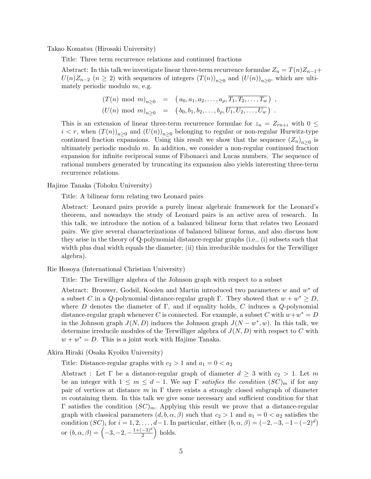Takao Komatsu (Hirosaki University)

Title: Three term recurrence relations and continued fractions

Abstract: In this talk we investigate linear three-term recurrence formulae  $Z_n = T(n)Z_{n-1}$ +  $U(n)Z_{n-2}$  ( $n \ge 2$ ) with sequences of integers  $(T(n))_{n\ge 0}$  and  $(U(n))_{n\ge 0}$ , which are ultimately periodic modulo  $m$ , e.g.

$$
(T(n) \mod m)_{n \geq 0} = (a_0, a_1, a_2, \ldots, a_p, \overline{T_1, T_2, \ldots, T_w}) ,
$$
  

$$
(U(n) \mod m)_{n \geq 0} = (b_0, b_1, b_2, \ldots, b_p, \overline{U_1, U_2, \ldots, U_w}) .
$$

This is an extension of linear three-term recurrence formulae for  $z_n = Z_{rn+i}$  with  $0 \leq$  $i < r$ , when  $(T(n))_{n \geq 0}$  and  $(U(n))_{n \geq 0}$  belonging to regular or non-regular Hurwitz-type continued fraction expansions. Using this result we show that the sequence  $(Z_n)_{n\geq 0}$  is ultimately periodic modulo  $m$ . In addition, we consider a non-regular continued fraction expansion for infinite reciprocal sums of Fibonacci and Lucas numbers. The sequence of rational numbers generated by truncating its expansion also yields interesting three-term recurrence relations.

Hajime Tanaka (Tohoku University)

Title: A bilinear form relating two Leonard pairs

Abstract: Leonard pairs provide a purely linear algebraic framework for the Leonard's theorem, and nowadays the study of Leonard pairs is an active area of research. In this talk, we introduce the notion of a balanced bilinear form that relates two Leonard pairs. We give several characterizations of balanced bilinear forms, and also discuss how they arise in the theory of Q-polynomial distance-regular graphs (i.e., (i) subsets such that width plus dual width equals the diameter; (ii) thin irreducible modules for the Terwilliger algebra).

Rie Hosoya (International Christian University)

Title: The Terwilliger algebra of the Johnson graph with respect to a subset

Abstract: Brouwer, Godsil, Koolen and Martin introduced two parameters  $w$  and  $w^*$  of a subset C in a Q-polynomial distance-regular graph  $\Gamma$ . They showed that  $w + w^* \geq D$ , where D denotes the diameter of  $\Gamma$ , and if equality holds, C induces a Q-polynomial distance-regular graph whenever C is connected. For example, a subset C with  $w+w^* = D$ in the Johnson graph  $J(N, D)$  induces the Johnson graph  $J(N - w^*, w)$ . In this talk, we determine irreducile modules of the Terwilliger algebra of  $J(N, D)$  with respsct to C with  $w + w^* = D$ . This is a joint work with Hajime Tanaka.

Akira Hiraki (Osaka Kyoiku University)

Title: Distance-regular graphs with  $c_2 > 1$  and  $a_1 = 0 < a_2$ 

Abstract : Let  $\Gamma$  be a distance-regular graph of diameter  $d \geq 3$  with  $c_2 > 1$ . Let m be an integer with  $1 \leq m \leq d-1$ . We say  $\Gamma$  satisfies the condition  $(SC)_m$  if for any pair of vertices at distance m in  $\Gamma$  there exists a strongly closed subgraph of diameter m containing them. In this talk we give some necessary and sufficient condition for that  $Γ$  satisfies the condition  $(SC)<sub>m</sub>$ . Applying this result we prove that a distance-regular graph with classical parameters  $(d, b, \alpha, \beta)$  such that  $c_2 > 1$  and  $a_1 = 0 < a_2$  satisfies the condition  $(SC)_i$  for  $i = 1, 2, \ldots, d-1$ . In particular, either  $(b, \alpha, \beta) = (-2, -3, -1 - (-2)^d)$ or  $(b, \alpha, \beta) = \left(-3, -2, -\frac{1+(-3)^d}{2}\right)$  $\left(\frac{-3)^d}{2}\right)$  holds.